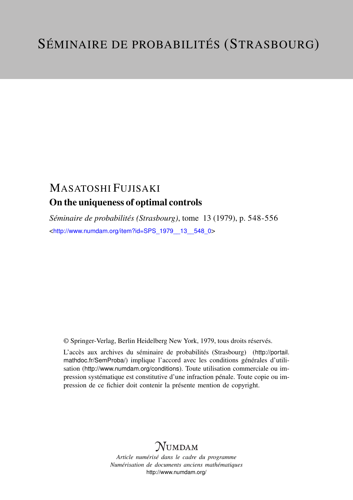# MASATOSHI FUJISAKI On the uniqueness of optimal controls

*Séminaire de probabilités (Strasbourg)*, tome 13 (1979), p. 548-556 <[http://www.numdam.org/item?id=SPS\\_1979\\_\\_13\\_\\_548\\_0](http://www.numdam.org/item?id=SPS_1979__13__548_0)>

© Springer-Verlag, Berlin Heidelberg New York, 1979, tous droits réservés.

L'accès aux archives du séminaire de probabilités (Strasbourg) ([http://portail.](http://portail.mathdoc.fr/SemProba/) [mathdoc.fr/SemProba/](http://portail.mathdoc.fr/SemProba/)) implique l'accord avec les conditions générales d'utilisation (<http://www.numdam.org/conditions>). Toute utilisation commerciale ou impression systématique est constitutive d'une infraction pénale. Toute copie ou impression de ce fichier doit contenir la présente mention de copyright.

# **NUMDAM**

*Article numérisé dans le cadre du programme Numérisation de documents anciens mathématiques* <http://www.numdam.org/>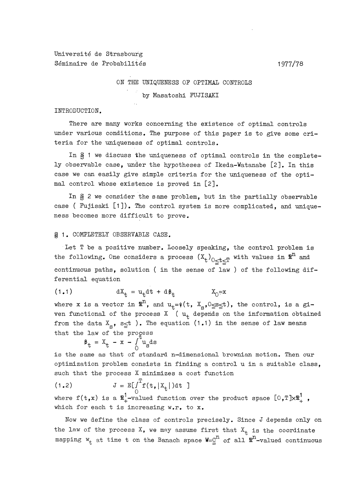Université de Strasbourg Séminaire de Probabilités (1977/78)

### ON THE UNIQUENESS OF OPTIMAL CONTROLS

by Masatoshi FUJISAKI

#### INTRODUCTION.

There are many works concerning the existence of optimal controls under various conditions. The purpose of this paper is to give some criteria for the uniqueness of optimal controls.

In § 1 we discuss the uniqueness of optimal controls in the completely observable case, under the hypotheses of Ikeda-Watanabe [2]. In this case we can easily give simple criteria for the uniqueness of the optimal control whose existence is proved in [2].

In  $\S$  2 we consider the same problem, but in the partially observable case ( Fujisaki [1]). The control system is more complicated, and uniqueness becomes more difficult to prove.

## ~ 1. COMPLETELY OBSERVABLE CASE.

Let T be a positive number. Loosely speaking, the control problem is the following. One considers a process  $(x_t)_{0 < t < T}$  with values in  $\mathbb{R}^n$  and continuous paths, solution ( in the sense of law ) of the following differential equation

$$
(1.1) \t\t dX_t = u_t dt + d\beta_t \t\t X_0 = x
$$

where x is a vector in  $\mathbb{R}^n$ , and  $u_t=\psi(t, X_s, 0 \le s \le t)$ , the control, is a given functional of the process  $X \left( u_{+} \right)$  depends on the information obtained from the data  $X_{S}$ ,  $S \leq t$ ). The equation (1.1) in the sense of law means that the law of the process

$$
\beta_{\rm t} = X_{\rm t} - x - \int_0^{\rm t} u_{\rm s} \, \mathrm{d}s
$$

is the same as that of standard n-dimensional brownian motion. Then our optimization problem consists in finding a control u in a suitable class, such that the process X minimizes a cost function

$$
\mathbf{J} = \mathbb{E}[\int_{0}^{T} \mathbf{f}(\mathbf{t}, | \mathbf{X}_{t} |) \, \mathrm{d} \mathbf{t} \, ]
$$

where  $f(t,x)$  is a  $\mathbb{R}^1_+$ -valued function over the product space  $[0,T]\times\mathbb{R}^1_+$ , which for each t is increasing w.r. to x.

Now we define the class of controls precisely. Since J depends only on the law of the process  $X$ , we may assume first that  $X_t$  is the coordinate mapping  $w_t$  at time t on the Banach space  $W = \underline{C}^n$  of all  $\mathbb{R}^n$ -valued continuous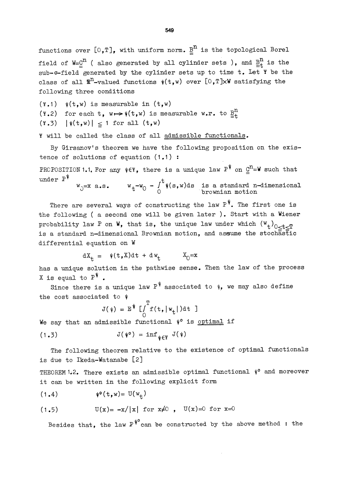functions over  $[0,T]$ , with uniform norm.  $\underline{B}^n$  is the topological Borel field of  $W = \mathcal{Q}^n$  ( also generated by all cylinder sets ), and  $\underline{B}_t^n$  is the sub- $\sigma$ -field generated by the cylinder sets up to time t. Let  $\check{Y}$  be the class of all  $\mathbb{R}^n$ -valued functions  $\psi(t,w)$  over [O,T]xW satisfying the following three conditions

 $(\Psi.1)$   $\psi(t,w)$  is measurable in  $(t,w)$ (\*.2) for each t,  $w \mapsto \psi(t, w)$  is measurable w.r. to  $\underline{B}^{n}_{t}$  $(\Psi.3)$   $|\psi(t,w)| \leq 1$  for all  $(t,w)$ 

~ will be called the class of all admissible functionals.

By Girsanov's theorem we have the following proposition on the existence of solutions of equation (1.1) :

PRCPOSITION 1.1. For any  $\psi \in \Psi$ , there is a unique law P<sup>\*</sup> on  $\underline{\underline{C}}^{\Pi} = \Psi$  such that under  $P^{\Psi}$ 

$$
W_0 = x \ a.s. \t W_t - W_0 - \int_0^{\infty} \psi(s, w) ds \t is a standard n-dimensionalbrownian motion
$$

There are several ways of constructing the law  $P^{\Psi}$ . The first one is the following ( a second one will be given later ). Start with a Wiener probability law P on W, that is, the unique law under which  $(W_t)_{0 < t < T}$ is a standard n-dimensional Brownian motion, and assume the stochastic differential equation on W

$$
dX_t = \psi(t, X)dt + dW_t \qquad X_0 = x
$$

has a unique solution in the pathwise sense. Then the law of the process X is equal to  $P^{\Psi}$ .

Since there is a unique law  $P^{\psi}$  associated to  $\psi$ , we may also define the cost associated to  $\psi$ 

$$
J(\psi) = E^{\psi} \left[ \int_{0}^{T} f(t, |w_t|) dt \right]
$$

We say that an admissible functional  $\psi$ <sup>o</sup> is optimal if

$$
J(\psi^o) = \inf_{\psi \in \Psi} J(\psi)
$$

The following theorem relative to the existence of optimal functionals is due to Ikeda-Watanabe [2]

THEOREM 1.2. There exists an admissible optimal functional  $\psi$ <sup>o</sup> and moreover it can be written in the following explicit form

(1.4) U(wt)

$$
(1.5) \tU(x) = -x/|x| \tfor x \neq 0 \t, U(x) = 0 \tfor x = 0
$$

Besides that, the law  $P^{\psi^0}$  can be constructed by the above method: the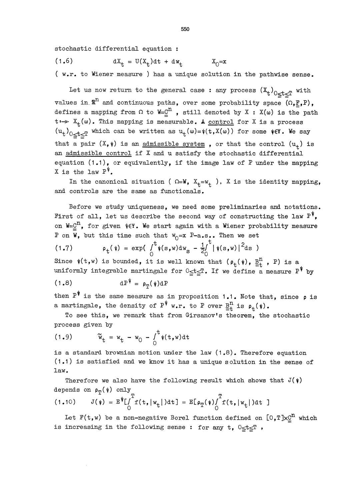stochastic differential equation :

$$
(1.6) \t\t dx_{t} = U(X_{t})dt + dw_{t} \t\t X_{0} = x
$$

( w.r. to Wiener measure ) has a unique solution in the pathwise sense.

Let us now return to the general case : any process  $(\mathfrak{X}_t)_{0 \leq t \leq T}$  with values in  $\mathbb{R}^n$  and continuous paths, over some probability space  $(\Omega, \underline{F}, P)$ , defines a mapping from  $\Omega$  to W=C<sup>n</sup>, still denoted by X : X(w) is the path  $t\mapsto X_{+}(\omega)$ . This mapping is measurable. A control for X is a process  $(u_t)_{0 < t < T}$  which can be written as  $u_t(\omega) = \psi(t, X(\omega))$  for some  $\psi \in Y$ . We say that a pair  $(X, \psi)$  is an admissible system, or that the control  $(u_+)$  is an admissible control if X and u satisfy the stochastic differential equation  $(1.1)$ , or equivalently, if the image law of P under the mapping X is the law  $P^{\Psi}$ .

In the canonical situation (  $\Omega=W$ ,  $X_t=w_t$  ), X is the identity mapping, and controls are the same as functionals.

Before we study uniqueness, we need some preliminaries and notations. First of all, let us describe the second way of constructing the law  $P^{\psi}$ , on  $W = \underline{C}^n$ , for given  $\psi \in Y$ . We start again with a Wiener probability measure P on W, but this time such that  $W_0 = X P-a.s..$  Then we set

(1.7) 
$$
\rho_t(\psi) = \exp\left(\int_0^t \psi(s,w) \, dw \right) - \frac{1}{2} \int_0^t |\psi(s,w)|^2 \, ds
$$

Since  $\mathsf{\psi}(\mathtt{t},\mathtt{w})$  is bounded, it is well known that  $(\,\mathsf{\rho}_\mathsf{t}(\,\mathsf{\psi})\,,\,\frac{\mathtt{B}}{\mathtt{=} \mathtt{t}}$  ,  $\mathtt{P})$  is a uniformly integrable martingale for  $0 \leqq t \leqq T$ . If we define a measure  $P^{\Psi}$  by

$$
(1.8) \t dP^{\Psi} = \rho_{\eta}(\psi) dI
$$

then  $P^{\psi}$  is the same measure as in proposition 1.1. Note that, since  $\rho$  is a martingale, the density of  $P^{\psi}$  w.r. to P over  $\underline{B}^{n}_{+}$  is  $\rho_{+}(\psi)$ .

To see this, we remark that from Girsanov's theorem, the stochastic process given by

$$
(1.9) \t\t \widetilde{w}_t = w_t - w_0 - \int_0^t \psi(t, w) dt
$$

is a standard brownian motion under the law  $(1.8)$ . Therefore equation (1.1) is satisfied and we know it has a unique solution in the sense of law.

Therefore we also have the following result which shows that  $J(\psi)$ depends on  $\rho_{\eta}(\psi)$  only

$$
(1.10) \qquad J(\psi) = \mathbb{E}^{\psi} \left[ \int_{0}^{T} f(t, |w_{t}|) dt \right] = \mathbb{E} \left[ \rho_{T}(\psi) \int_{0}^{T} f(t, |w_{t}|) dt \right]
$$

Let  $F(t,w)$  be a non-negative Borel function defined on  $[0,T]\times \mathcal{Q}^n$  which is increasing in the following sense : for any  $t, 0 \le t \le T$ ,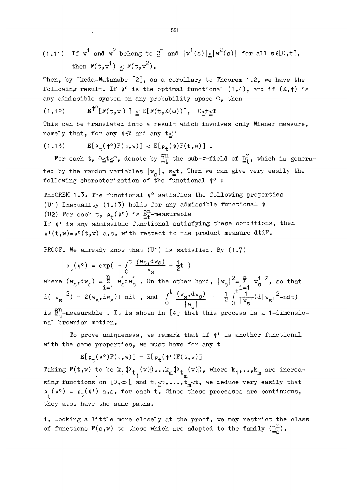(1.11) If  $w^1$  and  $w^2$  belong to  $\underline{C}^n$  and  $|w^1(s)| \le |w^2(s)|$  for all  $s \in [0, t]$ , then  $F(t,w^1) \leq F(t,w^2)$ .

Then, by Ikeda-Watanabe [2], as a corollary to Theorem 1.2, we have the following result. If  $\psi$ <sup>o</sup> is the optimal functional (1.4), and if  $(X, \psi)$  is any admissible system on any probability space  $\Omega$ , then

(1.12) ] ECF(t,X(w) ) ],

This can be translated into a result which involves only Wiener measure, namely that, for any  $\psi \in \Psi$  and any  $t \leq T$ 

$$
(1.13) \qquad \mathbb{E}[\rho_t(\psi^\circ)\mathbb{F}(t,w)] \leq \mathbb{E}[\rho_t(\psi)\mathbb{F}(t,w)] .
$$

For each t,  $0 \le t \le T$ , denote by  $\tilde{B}_{+}^{n}$  the sub- $\sigma$ -field of  $B_{+}^{n}$ , which is generated by the random variables  $|w_{\rm g}|$ , s\_t. Then we can give very easily the following characterization of the functional  $\psi$ <sup>o</sup>:

THEOREM 1.3. The functional  $\psi$ ° satisfies the following properties (U1) Inequality (1.13) holds for any admissible functional  $\psi$ (U2) For each t,  $\rho_t(\psi^0)$  is  $\frac{\mathbb{S}^n}{\mathbb{E}^+}$ -measurable If  $\psi$  is any admissible functional satisfying these conditions, then  $\psi'(t,w) = \psi(0,t,w)$  a.s. with respect to the product measure dtdP.

PROOF. We already know that (U1) is satisfied. By (1.7)

 $p_t(\psi^0) = \exp(-\int_0^t \frac{(w_s, dw_s)}{|w_s|} - \frac{1}{2}t)$ where  $(w_g, dw_g) = \sum_{i=1}^{n} w_g^i dw_g^i$ . On the other hand,  $|w_g|^2 = \sum_{i=1}^{n} |w_g^i|^2$ , so that  $d(|w_{S}|^{2}) = 2(w_{S}, dw_{S}) + \text{ndt}$ , and  $\int_{0}^{t} \frac{(w_{S}, dw_{S})}{|w_{S}|} = \frac{1}{2} \int_{0}^{t} \frac{1}{|w_{S}|} (d|w_{S}|^{2} - \text{ndt})$ is  $\underline{\tilde{B}}_+^n$ -measurable. It is shown in [4] that this process is a 1-dimensional brownian motion.

To prove uniqueness, we remark that if  $\psi'$  is another functional with the same properties, we must have for any t

 $E[\rho_{+}(\psi^{\circ})F(t,w)] = E[\rho_{+}(\psi^{\dagger})F(t,w)]$ 

Taking  $F(t,w)$  to be  $k_1(X_{t_1}(w))\ldots k_m(X_{t_m}(w))$ , where  $k_1,\ldots,k_m$  are increasing functions on  $[0,\infty)$  and  $t_1 \leq t, \ldots, t_m \leq t$ , we deduce very easily that  $\rho_{\perp}(\psi^0) = \rho_{\pm}(\psi^{\dagger})$  a.s. for each t. Since these processes are continuous, they a.s. have the same paths.

1. Looking a little more closely at the proof, we may restrict the class of functions  $F(s,w)$  to those which are adapted to the family  $(\frac{B^n}{s} s)$ .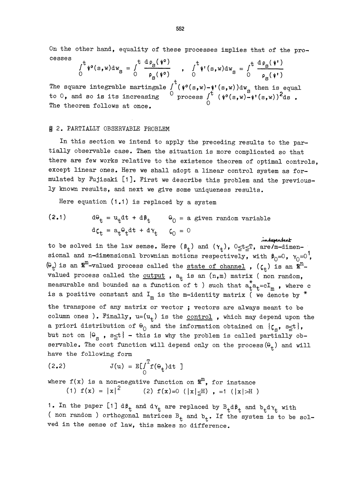On the other hand, equality of these processes implies that of the pro cesses  $\mathbf{r}$ 

$$
\int_0^t \psi^{\circ}(s,w) dw_{\mathbf{S}} = \int_0^t \frac{\mathfrak{a} \rho_{\mathbf{S}}(\psi^{\circ})}{\rho_{\mathbf{S}}(\psi^{\circ})} , \quad \int_0^t \psi^{\circ}(s,w) dw_{\mathbf{S}} = \int_0^t \frac{\mathfrak{d} \rho_{\mathbf{S}}(\psi^{\circ})}{\rho_{\mathbf{S}}(\psi^{\circ})}
$$

The square integrable martingale  $\int_c^t (\psi \circ (s,w) - \psi \circ (s,w)) dw_g$  then is equal to  $0$ , and so is its increasing  $\circ$  process  $\int_0^t$ The theorem follows at once.

### $$ 2. PARTIALLY OBSERVABLE PROBLEM$

In this section we intend to apply the preceding results to the partially observable case. Then the situation is more complicated so that there are few works relative to the existence theorem of optimal controls, except linear ones. Here we shall adopt a linear control system as formulated by Fujisaki [1]. First we describe this problem and the previously known results, and next we give some uniqueness results.

Here equation (1.1) is replaced by a system

(2.1) 
$$
d\theta_t = u_t dt + d\beta_t \qquad \theta_0 = a \text{ given random variable}
$$

$$
d\zeta_t = a_t \theta_t dt + d\gamma_t \qquad \zeta_0 = 0
$$

 $d\zeta_t = a_t \theta_t dt + d\gamma_t$   $\zeta_0 = 0$  independent<br>to be solved in the law sense. Here  $(\beta_t)$  and  $(\gamma_t)$ ,  $0 \le t \le T$ , are/m-dimensional and n-dimensional brownian motions respectively, with  $\beta_0=0$ ,  $\gamma_0=0$ ,  $(\theta_{+})$  is an  $\mathbb{R}^{m}$ -valued process called the <u>state of channel</u> ,  $(\zeta_{+})$  is an  $\mathbb{R}^{n}$ valued process called the <u>output</u>,  $a_t$  is an  $(n,m)$  matrix (non random, measurable and bounded as a function of t ) such that  $a_t^*a_t = cI_m$ , where c is a positive constant and  $I_m$  is the m-identity matrix  $\check{C}$  we denote by \* the transpose of any matrix or vector; vectors are always meant to be column ones ). Finally,  $u=(u_t)$  is the control, which may depend upon the a priori distribution of  $\Theta_0$  and the information obtained on  $\{\zeta_s, s \leq t\}$ , but not on  $\{\Theta_{\rm s}$ ,  $s_{\leq t}\}$  - this is why the problem is called partially observable. The cost function will depend only on the process  $(\theta_t)$  and will have the following form

$$
J(u) = E \left[ \int_{0}^{T} f(\theta_{t}) dt \right]
$$

where  $f(x)$  is a non-negative function on  $\mathbb{R}^m$ , for instance<br>(1)  $f(x) = |x|^2$  (2)  $f(x)=0$  ( $|x|<\text{H}$ ) . =1 ( $|x|>$ H (2) f(x)=0 ( $|x| \leq H$ ), =1 ( $|x| > H$ )

1. In the paper [1]  $d\beta_t$  and  $d\gamma_t$  are replaced by  $B_t d\beta_t$  and  $b_t d\gamma_t$  with ( non random ) orthogonal matrices  $B_t$  and  $b_t$ . If the system is to be solved in the sense of law, this makes no difference.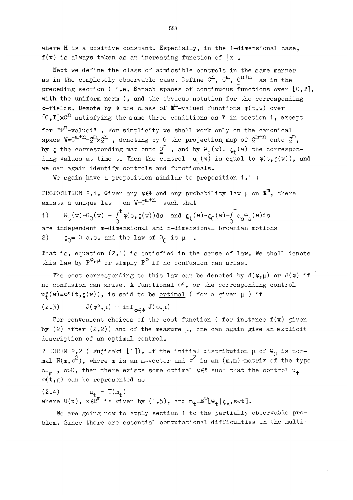where H is a positive constant. Especially, in the 1-dimensional case,  $f(x)$  is always taken as an increasing function of  $|x|$ .

Next we define the class of admissible controls in the same manner as in the completely observable case. Define  $\underline{C}^n$ ,  $\underline{C}^m$ ,  $\underline{C}^{n+m}$  as in the preceding section ( i.e. Banach spaces of continuous functions over  $[0,T]$ , with the uniform norm ), and the obvious notation for the corresponding  $\sigma$ -fields. Denote by  $\delta$  the class of  $\mathbb{R}^m$ -valued functions  $\varphi(\mathbf{t},w)$  over  $[0, T] \times C^{n}$  satisfying the same three conditions as  $\Psi$  in section 1, except for  $\mathbb{R}^n$ -valued". For simplicity we shall work only on the canonical space  $W = \underline{C}^{m+n} = \underline{C}^m \times \underline{C}^n$ , denoting by  $\theta$  the projection map of  $\underline{C}^{m+n}$  onto  $\underline{C}^m$ , by  $\zeta$  the corresponding map onto  $\underline{\underline{C}}^n$ , and by  $\Theta_t(w)$ ,  $\zeta_t(w)$  the corresponding values at time t. Then the control  $u_t(w)$  is equal to  $\varphi(t,\zeta(w))$ , and we can again identify controls and functionals.

We again have a proposition similar to proposition 1.1 :

PROPOSITION 2.1. Given any  $\varphi \in \Phi$  and any probability law  $\mu$  on  $\mathbb{R}^m$ , there exists a unique law on  $W = \underline{C}^{m+n}$  such that

1) 
$$
\theta_t(w) - \theta_0(w) - \int_0^t \varphi(s, \zeta(w)) ds
$$
 and  $\zeta_t(w) - \zeta_0(w) - \int_0^t a_s \theta_s(w) ds$   
are independent m-dimensional and n-dimensional brownian motion  
2)  $\zeta_0 = 0$  a.s. and the law of  $\theta_0$  is  $\mu$ .

That is, equation (2.1) is satisfied in the sense of law. We shall denote this law by  $P^{\varphi,\mu}$  or simply  $P^{\varphi}$  if no confusion can arise.

The cost corresponding to this law can be denoted by  $J(\varphi,\mu)$  or  $J(\varphi)$  if no confusion can arise. A functional  $\varphi^0$ , or the corresponding control  $u_{+}^{\circ}(w)=\varphi^{\circ}(t,\zeta(w))$ , is said to be <u>optimal</u> ( for a given  $\mu$  ) if

$$
(2.3) \t J(\varphi^0, \mu) = \inf_{\varphi \in \Phi} J(\varphi, \mu)
$$

For convenient choices of the cost function ( for instance  $f(x)$  given by (2) after (2.2)) and of the measure  $\mu$ , one can again give an explicit description of an optimal control.

THEOREM 2.2 ( Fujisaki [1]). If the initial distribution  $\mu$  of  $\theta_0$  is normal  $N(m,\sigma^2)$ , where m is an m-vector and  $\sigma^2$  is an  $(m,m)$ -matrix of the type  $cI_m$ ,  $c\gg0$ , then there exists some optimal  $\varphi \in \Phi$  such that the control  $u_+$ =  $\varphi(t,\zeta)$  can be represented as

(2.4)  $u_{t} = U(m_t)$ where  $U(x)$ ,  $x \in \mathbb{R}^m$  is given by (1.5), and  $m_t = E^{\varphi}[\theta_t | \zeta_s, s \leq t]$ .

We are going now to apply section 1 to the partially observable problem. Since there are essential computational difficulties in the multi-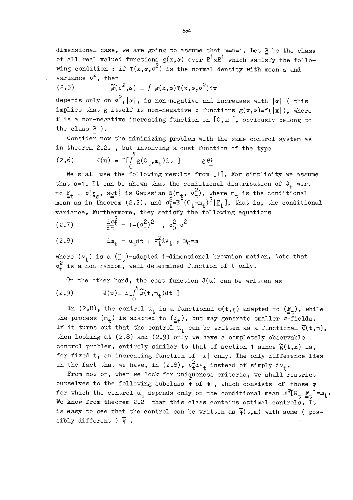dimensional case, we are going to assume that  $m=n=1$ . Let  $G$  be the class of all real valued functions  $g(x, \alpha)$  over  $\mathbb{R}^1 \times \mathbb{R}^1$  which satisfy the following condition : if  $\eta(x, \alpha, \sigma^2)$  is the normal density with mean  $\alpha$  and variance  $\sigma^2$ , then

$$
(2.5) \t\t\t \widetilde{g}(\sigma^2, \alpha) = \int g(x, \alpha) \eta(x, \alpha, \sigma^2) \mathrm{d}x
$$

depends only on  $\sigma^2$ ,  $|\alpha|$ , is non-negative and increases with  $|\alpha|$  (this implies that g itself is non-negative ; functions  $g(x, \alpha) = f(|x|)$ , where f is a non-negative increasing function on  $[0,\infty[$ , obviously belong to the class G ).

Consider now the minimizing problem with the same control system as in theorem  $2.2.$ , but involving a cost function of the type

$$
(2.6) \t J(u) = E[\int_{0}^{1} g(\theta_t, m_t) dt ] \t g \underline{\theta}.
$$

We shall use the following results from [1]. For simplicity we assume that a=1. It can be shown that the conditional distribution of  $\theta_+$  w.r. to  $\frac{F}{=t}$  =  $\sigma\{\zeta_{s}, s_{\leq t}\}\$ is Gaussian  $N(m_{t}, \sigma_{t}^{c})$ , where  $m_{t}$  is the conditional mean as in theorem (2.2), and  $\sigma_{\overline{t}}^{=E}$   $(\Theta_{t}-m_{t})^{\sim}$   $|\mathbb{F}_{t}|$ , that is, the conditional variance. Furthermore, they satisfy the following equations

(2.7) 
$$
\frac{d\sigma_{t}^{2}}{dt} = 1 - (\sigma_{t}^{2})^{2} , \sigma_{0}^{2} = \sigma^{2}
$$

$$
(2.8) \qquad \qquad dm_t = u_t dt + \sigma_t^2 dv_t , \quad m_0 = m
$$

where  $(v_{+})$  is a  $(\underline{F}_{+})$ -adapted 1-dimensional brownian motion. Note that  $\sigma_{+}^{2}$  is a non random, well determined function of t only.

On the other hand, the cost function 
$$
J(u)
$$
 can be written as  
(2.9)  $J(u) = E[\int_{0}^{T} \tilde{g}(t, m_t) dt]$ 

In (2.8), the control  $u_t$  is a functional  $\varphi(t,\zeta)$  adapted to  $(\underline{F}_t)$ , while the process  $(m_t)$  is adapted to  $(\underline{F}_t)$ , but may generate smaller  $\sigma$ -fields. If it turns out that the control  $u_t$  can be written as a functional  $\bar{\varphi}(t,m)$ , then looking at  $(2.8)$  and  $(2.9)$  only we have a completely observable control problem, entirely similar to that of section 1 since  $\widetilde{g}(t,x)$  is. for fixed t, an increasing function of  $|x|$  only. The only difference lies in the fact that we have, in (2.8),  $\sigma_t^2 d v_t$  instead of simply  $d v_t$ .

From now on, when we lock for uniqueness criteria, we shall restrict ourselves to the following subclass  $\Phi$  of  $\Phi$ , which consists of those  $\varphi$ for which the control  $u_t$  depends only on the conditional mean  $E^{\phi}[\theta_{+}|\underline{F}_{+}] = m_t$ . We know from theorem 2.2 that this class contains optimal controls. It is easy to see that the control can be written as  $\bar{\varphi}(t,m)$  with some ( possibly different  $\frac{1}{\varphi}$ .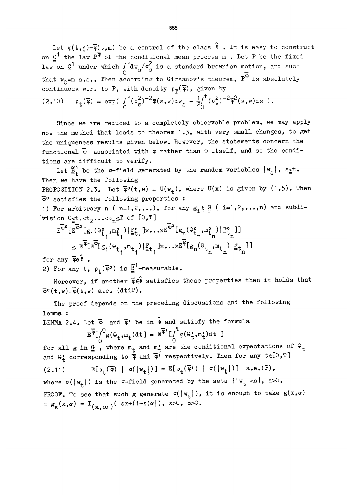Let  $\varphi(t,\zeta) = \overline{\varphi}(t,m)$  be a control of the class  $\hat{i}$ . It is easy to construct on  $\underline{\mathtt{C}}^{\mathsf{t}}$  the law  $\mathtt{P}^\Psi$  of the conditional mean process  $\mathtt{m}$  . Let  $\mathtt{P}$  be the fixed law on  $\underline{0}^1$  under which  $\int_0^b dw_g/\sigma_S^2$  is a standard brownian motion, and such that  $w_0$ =m a.s.. Then according to Girsanov's theorem,  $P^{\overline{\phi}}$  is absolutely continuous w.r. to P, with density  $\rho_{\phi}(\overline{\varphi})$ , given by (2.10)  $\rho_t(\overline{\varphi}) = \exp(\int_0^t (\sigma_s^2)^{-2} \overline{\varphi}(s,w) dw_s - \frac{1}{2} \int_0^t (\sigma_s^2)^{-2} \overline{\varphi}^2(s,w) ds).$ 

Since we are reduced to a completely observable problem, we may apply now the method that leads to theorem 1.3, with very small changes, to get the uniqueness results given below. However, the statements concern the functional  $\bar{\phi}$  associated with  $\phi$  rather than  $\phi$  itself, and so the conditions are difficult to verify.

Let  $\tilde{\Xi}^1_t$  be the  $\sigma$ -field generated by the random variables  $|w_g|$ , s $\leq t$ . Then we have the following PROPOSITION 2.3. Let  $\overline{\varphi}^{\circ}(\mathbf{t}, \mathbf{w}) = \mathbf{U}(\mathbf{w}_{+}),$  where  $\mathbf{U}(\mathbf{x})$  is given by  $(1.5)$ . Then

 $\overline{\varphi}$ <sup>o</sup> satisfies the following properties : 1) For arbitrary n ( n=1,2,...), for any  $g_i \in \underline{G}$  ( i=1,2,...,n) and subdi-<br>
vision  $0 \le t_1 < t_2 \ldots < t_n \le T$  of  $[0, T]$ 

$$
\mathbb{E}^{\overline{\phi}^{\circ}}\left[\mathbb{E}^{\overline{\phi}^{\circ}}\left[\mathbb{E}_{1}(\Theta_{t_{1}}^{\circ},\overline{\mathbb{E}}_{t_{1}}^{\circ})\big|\mathbb{E}_{t_{1}}^{\circ}\right]\times\ldots\times\mathbb{E}^{\overline{\phi}^{\circ}}\left[\mathbb{E}_{n}(\Theta_{t_{1}}^{\circ},\mathbb{E}_{t_{1}}^{\circ})\big|\mathbb{E}_{t_{1}}^{\circ}\right]\right] \leq \mathbb{E}^{\overline{\phi}}\left[\mathbb{E}^{\overline{\phi}}\left[\mathbb{E}_{1}(\Theta_{t_{1}},\mathbb{E}_{t_{1}}^{\circ})\big|\mathbb{E}_{t_{1}}^{\circ}\right]\times\ldots\times\mathbb{E}^{\overline{\phi}}\left[\mathbb{E}_{n}(\Theta_{t_{1}},\mathbb{E}_{t_{1}}^{\circ})\big|\mathbb{E}_{t_{1}}^{\circ}\right]\right]
$$

for any  $\overline{\phi}e\Phi$ .

2) For any t,  $\rho_+(\overline{\varphi}^0)$  is  $\overline{\underline{\beta}}^1$ -measurable.

Moreover, if another  $\overline{\varphi}\epsilon\hat{\Phi}$  satisfies these properties then it holds that  $\overline{\varphi}^{\circ}(\mathbf{t}, \mathbf{w}) = \overline{\varphi}(\mathbf{t}, \mathbf{w})$  a.e. (dtdP).

The proof depends on the preceding discussions and the following lemma :

LEMMA 2.4. Let  $\overline{\varphi}$  and  $\overline{\varphi}$ ' be in  $\hat{\Phi}$  and satisfy the formula

$$
\mathbb{E}^{\overline{\phi}} \big[ \int_{0}^{T} g(\Theta_{t}, \mathbf{m}_{t}) \, \mathrm{d}t \big] = \mathbb{E}^{\overline{\phi}} \big[ \int_{0}^{T} g(\Theta_{t}^{t}, \mathbf{m}_{t}^{t}) \, \mathrm{d}t \big]
$$

for all g in  $\underline{G}$ , where  $m_t$  and  $m_t$  are the conditional expectations of  $\Theta_t$ and  $\Theta_t$  corresponding to  $\phi$  and  $\overline{\phi}$  respectively. Then for any  $t \in [0,T]$ (2.11)  $\mathbb{E}[\rho_t(\overline{\varphi}) | \sigma(|w_t|)] = \mathbb{E}[\rho_t(\overline{\varphi}) | \sigma(|w_t|)]$  a.e.(P), where  $\sigma(\vert w_t \vert)$  is the  $\sigma$ -field generated by the sets  $\vert \vert w_t \vert < a \}$ ,  $a > 0$ . PROOF. To see that such g generate  $\sigma(|w_{+}|)$ , it is enough to take  $g(x,\alpha)$  $= g_{\varepsilon}(x,\alpha) = I_{(a,\infty)}(|\varepsilon x+(1-\varepsilon)\alpha|), \varepsilon>0, \alpha>0.$